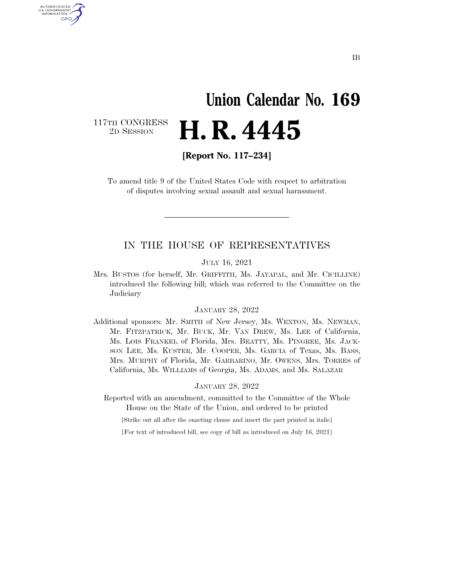# **Union Calendar No. 169**  2D SESSION **H. R. 4445**

117TH CONGRESS<br>2D SESSION

AUTHENTICATED U.S. GOVERNMENT GPO

**[Report No. 117–234]** 

To amend title 9 of the United States Code with respect to arbitration of disputes involving sexual assault and sexual harassment.

## IN THE HOUSE OF REPRESENTATIVES

#### JULY 16, 2021

Mrs. BUSTOS (for herself, Mr. GRIFFITH, Ms. JAYAPAL, and Mr. CICILLINE) introduced the following bill; which was referred to the Committee on the Judiciary

#### JANUARY 28, 2022

Additional sponsors: Mr. SMITH of New Jersey, Ms. WEXTON, Ms. NEWMAN, Mr. FITZPATRICK, Mr. BUCK, Mr. VAN DREW, Ms. LEE of California, Ms. LOIS FRANKEL of Florida, Mrs. BEATTY, Ms. PINGREE, Ms. JACK-SON LEE, Ms. KUSTER, Mr. COOPER, Ms. GARCIA of Texas, Ms. BASS, Mrs. MURPHY of Florida, Mr. GARBARINO, Mr. OWENS, Mrs. TORRES of California, Ms. WILLIAMS of Georgia, Ms. ADAMS, and Ms. SALAZAR

#### JANUARY 28, 2022

Reported with an amendment, committed to the Committee of the Whole House on the State of the Union, and ordered to be printed

[Strike out all after the enacting clause and insert the part printed in italic]

[For text of introduced bill, see copy of bill as introduced on July 16, 2021]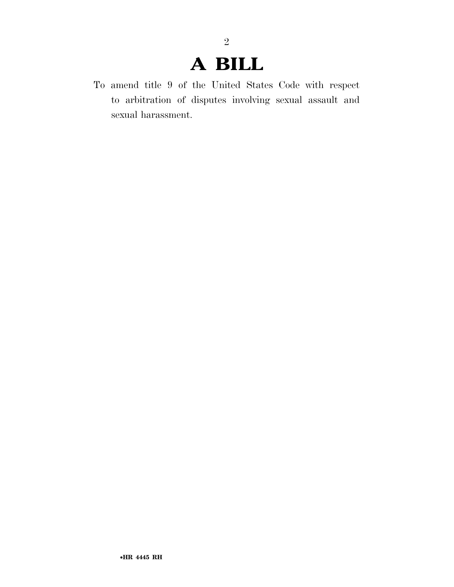# **A BILL**

2

To amend title 9 of the United States Code with respect to arbitration of disputes involving sexual assault and sexual harassment.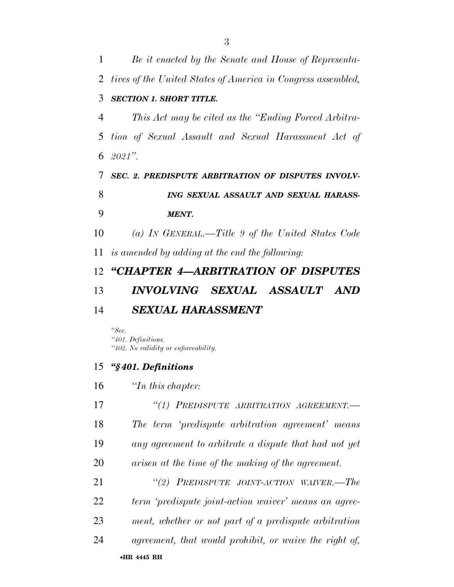| 1  | Be it enacted by the Senate and House of Representa-         |
|----|--------------------------------------------------------------|
| 2  | tives of the United States of America in Congress assembled, |
| 3  | <b>SECTION 1. SHORT TITLE.</b>                               |
| 4  | This Act may be cited as the "Ending Forced Arbitra-         |
| 5  | tion of Sexual Assault and Sexual Harassment Act of          |
|    | 6 $2021$ ".                                                  |
| 7  | <b>SEC. 2. PREDISPUTE ARBITRATION OF DISPUTES INVOLV-</b>    |
| 8  | ING SEXUAL ASSAULT AND SEXUAL HARASS-                        |
| 9  | <b>MENT.</b>                                                 |
| 10 | (a) IN GENERAL.—Title 9 of the United States Code            |
| 11 | is amended by adding at the end the following:               |
|    | 12 "CHAPTER 4-ARBITRATION OF DISPUTES                        |
| 13 | INVOLVING SEXUAL ASSAULT<br>AND                              |
| 14 | <b>SEXUAL HARASSMENT</b>                                     |
|    |                                                              |

*''Sec. ''401. Definitions. ''402. No validity or enforceability.* 

### *''§ 401. Definitions*

*''In this chapter:* 

•**HR 4445 RH** *''(1) PREDISPUTE ARBITRATION AGREEMENT.— The term 'predispute arbitration agreement' means any agreement to arbitrate a dispute that had not yet arisen at the time of the making of the agreement. ''(2) PREDISPUTE JOINT-ACTION WAIVER.—The term 'predispute joint-action waiver' means an agree- ment, whether or not part of a predispute arbitration agreement, that would prohibit, or waive the right of,*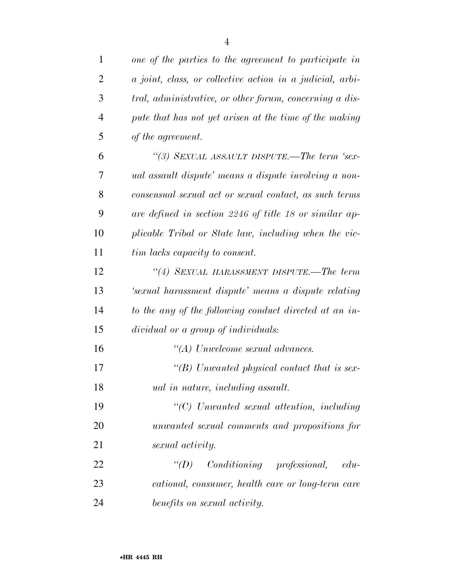| $\mathbf{1}$   | one of the parties to the agreement to participate in            |
|----------------|------------------------------------------------------------------|
| 2              | <i>a joint, class, or collective action in a judicial, arbi-</i> |
| 3              | tral, administrative, or other forum, concerning a dis-          |
| $\overline{4}$ | pute that has not yet arisen at the time of the making           |
| 5              | of the agreement.                                                |
| 6              | "(3) SEXUAL ASSAULT DISPUTE.—The term 'sex-                      |
| 7              | ual assault dispute' means a dispute involving a non-            |
| 8              | consensual sexual act or sexual contact, as such terms           |
| 9              | are defined in section 2246 of title 18 or similar ap-           |
| 10             | plicable Tribal or State law, including when the vic-            |
| 11             | tim lacks capacity to consent.                                   |
| 12             | "(4) SEXUAL HARASSMENT DISPUTE.—The term                         |
| 13             | 'sexual harassment dispute' means a dispute relating             |
| 14             | to the any of the following conduct directed at an in-           |
| 15             | dividual or a group of individuals:                              |
| 16             | $\lq (A)$ Unwelcome sexual advances.                             |
| 17             | "(B) Unwanted physical contact that is sex-                      |
| 18             | <i>ual in nature, including assault.</i>                         |
| 19             | "(C) Unwanted sexual attention, including                        |
| 20             | unwanted sexual comments and propositions for                    |
| 21             | sexual activity.                                                 |
| 22             | $\lq\lq D$ Conditioning professional,<br>$edu$ -                 |
| 23             | cational, consumer, health care or long-term care                |
| 24             | benefits on sexual activity.                                     |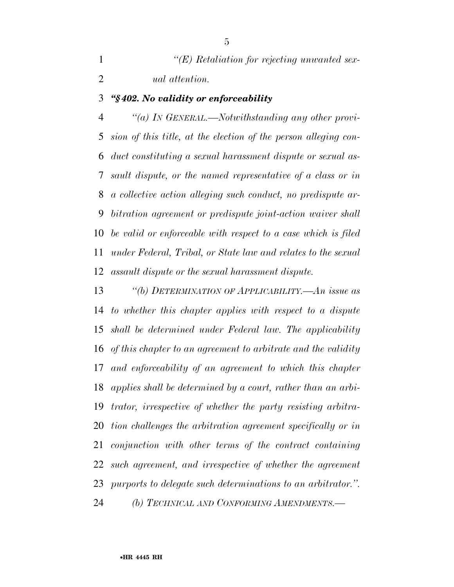| $\lq\lq (E)$ Retaliation for rejecting unwanted sex- |
|------------------------------------------------------|
| <i>ual</i> attention.                                |

### *''§ 402. No validity or enforceability*

 *''(a) IN GENERAL.—Notwithstanding any other provi- sion of this title, at the election of the person alleging con- duct constituting a sexual harassment dispute or sexual as- sault dispute, or the named representative of a class or in a collective action alleging such conduct, no predispute ar- bitration agreement or predispute joint-action waiver shall be valid or enforceable with respect to a case which is filed under Federal, Tribal, or State law and relates to the sexual assault dispute or the sexual harassment dispute.* 

 *''(b) DETERMINATION OF APPLICABILITY.—An issue as to whether this chapter applies with respect to a dispute shall be determined under Federal law. The applicability of this chapter to an agreement to arbitrate and the validity and enforceability of an agreement to which this chapter applies shall be determined by a court, rather than an arbi- trator, irrespective of whether the party resisting arbitra- tion challenges the arbitration agreement specifically or in conjunction with other terms of the contract containing such agreement, and irrespective of whether the agreement purports to delegate such determinations to an arbitrator.''.* 

*(b) TECHNICAL AND CONFORMING AMENDMENTS.—*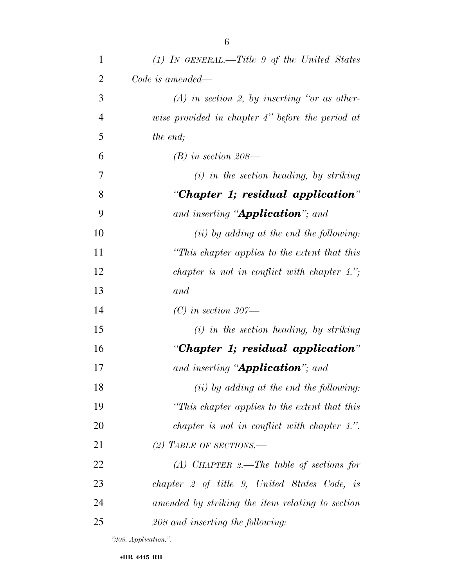| 3              | $(A)$ in section 2, by inserting "or as other-      |
|----------------|-----------------------------------------------------|
| $\overline{4}$ | wise provided in chapter $4$ " before the period at |
| 5              | the end;                                            |
| 6              | $(B)$ in section 208—                               |
| 7              | $(i)$ in the section heading, by striking           |
| 8              | "Chapter 1; residual application"                   |
| 9              | and inserting " <b>Application</b> "; and           |
| 10             | $(ii)$ by adding at the end the following:          |
| 11             | "This chapter applies to the extent that this       |
| 12             | chapter is not in conflict with chapter $4.'$ ;     |
| 13             | and                                                 |
| 14             | $(C)$ in section 307—                               |
| 15             | $(i)$ in the section heading, by striking           |
| 16             | "Chapter 1; residual application"                   |
| 17             | and inserting " <b>Application</b> "; and           |
| 18             | $(ii)$ by adding at the end the following:          |
| 19             | "This chapter applies to the extent that this       |
| 20             | chapter is not in conflict with chapter 4.".        |
| 21             | (2) TABLE OF SECTIONS.—                             |
| 22             | $(A)$ CHAPTER 2.—The table of sections for          |
| 23             | chapter 2 of title 9, United States Code, is        |
| 24             | amended by striking the item relating to section    |
| 25             | 208 and inserting the following:                    |

*''208. Application.''.*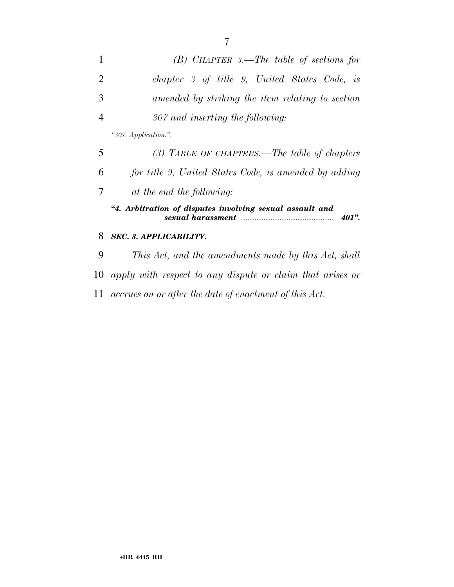| $\mathbf{1}$   | $(B)$ CHAPTER 3.—The table of sections for                                                                                               |
|----------------|------------------------------------------------------------------------------------------------------------------------------------------|
| $\overline{2}$ | chapter 3 of title 9, United States Code, is                                                                                             |
| 3              | amended by striking the item relating to section                                                                                         |
| $\overline{4}$ | 307 and inserting the following:                                                                                                         |
|                | "307. Application.".                                                                                                                     |
| 5              | (3) TABLE OF CHAPTERS.—The table of chapters                                                                                             |
| 6              | for title 9, United States Code, is amended by adding                                                                                    |
| 7              | at the end the following:                                                                                                                |
|                | "4. Arbitration of disputes involving sexual assault and<br>sexual harassment manufactured and the sexual harassment<br>401 <sup>"</sup> |
| 8              | <b>SEC. 3. APPLICABILITY.</b>                                                                                                            |

 *This Act, and the amendments made by this Act, shall apply with respect to any dispute or claim that arises or accrues on or after the date of enactment of this Act.*